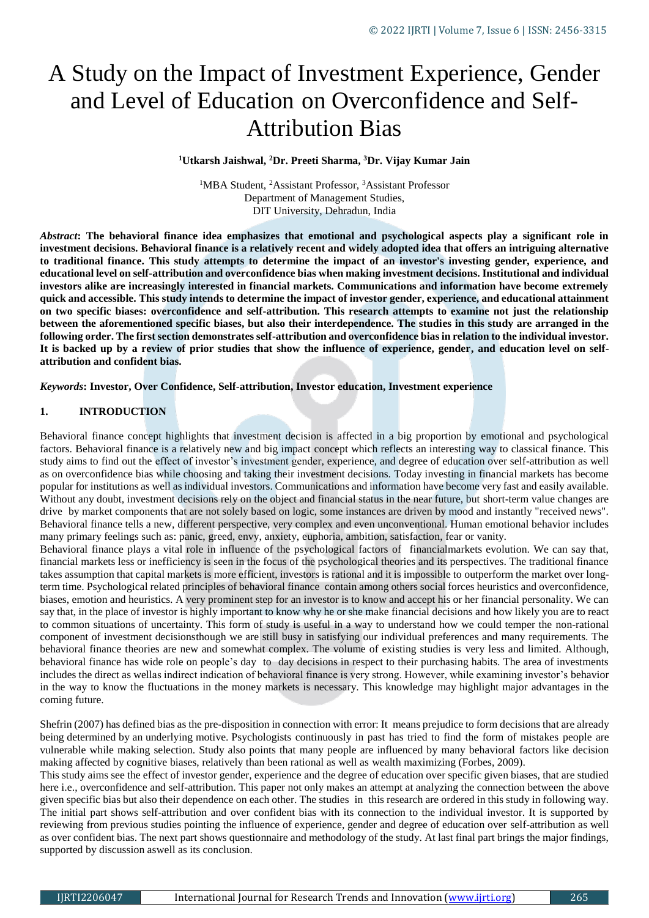# A Study on the Impact of Investment Experience, Gender and Level of Education on Overconfidence and Self-Attribution Bias

#### **<sup>1</sup>Utkarsh Jaishwal, <sup>2</sup>Dr. Preeti Sharma, <sup>3</sup>Dr. Vijay Kumar Jain**

<sup>1</sup>MBA Student, <sup>2</sup>Assistant Professor, <sup>3</sup>Assistant Professor Department of Management Studies, DIT University, Dehradun, India

*Abstract***: The behavioral finance idea emphasizes that emotional and psychological aspects play a significant role in investment decisions. Behavioral finance is a relatively recent and widely adopted idea that offers an intriguing alternative to traditional finance. This study attempts to determine the impact of an investor's investing gender, experience, and educational level on self-attribution and overconfidence bias when making investment decisions. Institutional and individual investors alike are increasingly interested in financial markets. Communications and information have become extremely quick and accessible. This study intends to determine the impact of investor gender, experience, and educational attainment on two specific biases: overconfidence and self-attribution. This research attempts to examine not just the relationship between the aforementioned specific biases, but also their interdependence. The studies in this study are arranged in the following order. The first section demonstrates self-attribution and overconfidence bias in relation to the individual investor. It is backed up by a review of prior studies that show the influence of experience, gender, and education level on selfattribution and confident bias.**

*Keywords***: Investor, Over Confidence, Self-attribution, Investor education, Investment experience** 

#### **1. INTRODUCTION**

Behavioral finance concept highlights that investment decision is affected in a big proportion by emotional and psychological factors. Behavioral finance is a relatively new and big impact concept which reflects an interesting way to classical finance. This study aims to find out the effect of investor's investment gender, experience, and degree of education over self-attribution as well as on overconfidence bias while choosing and taking their investment decisions. Today investing in financial markets has become popular for institutions as well as individual investors. Communications and information have become very fast and easily available. Without any doubt, investment decisions rely on the object and financial status in the near future, but short-term value changes are drive by market components that are not solely based on logic, some instances are driven by mood and instantly "received news". Behavioral finance tells a new, different perspective, very complex and even unconventional. Human emotional behavior includes many primary feelings such as: panic, greed, envy, anxiety, euphoria, ambition, satisfaction, fear or vanity.

Behavioral finance plays a vital role in influence of the psychological factors of financialmarkets evolution. We can say that, financial markets less or inefficiency is seen in the focus of the psychological theories and its perspectives. The traditional finance takes assumption that capital markets is more efficient, investors is rational and it is impossible to outperform the market over longterm time. Psychological related principles of behavioral finance contain among others social forces heuristics and overconfidence, biases, emotion and heuristics. A very prominent step for an investor is to know and accept his or her financial personality. We can say that, in the place of investor is highly important to know why he or she make financial decisions and how likely you are to react to common situations of uncertainty. This form of study is useful in a way to understand how we could temper the non-rational component of investment decisionsthough we are still busy in satisfying our individual preferences and many requirements. The behavioral finance theories are new and somewhat complex. The volume of existing studies is very less and limited. Although, behavioral finance has wide role on people's day to day decisions in respect to their purchasing habits. The area of investments includes the direct as wellas indirect indication of behavioral finance is very strong. However, while examining investor's behavior in the way to know the fluctuations in the money markets is necessary. This knowledge may highlight major advantages in the coming future.

Shefrin (2007) has defined bias as the pre-disposition in connection with error: It means prejudice to form decisions that are already being determined by an underlying motive. Psychologists continuously in past has tried to find the form of mistakes people are vulnerable while making selection. Study also points that many people are influenced by many behavioral factors like decision making affected by cognitive biases, relatively than been rational as well as wealth maximizing (Forbes, 2009).

This study aims see the effect of investor gender, experience and the degree of education over specific given biases, that are studied here i.e., overconfidence and self-attribution. This paper not only makes an attempt at analyzing the connection between the above given specific bias but also their dependence on each other. The studies in this research are ordered in this study in following way. The initial part shows self-attribution and over confident bias with its connection to the individual investor. It is supported by reviewing from previous studies pointing the influence of experience, gender and degree of education over self-attribution as well as over confident bias. The next part shows questionnaire and methodology of the study. At last final part brings the major findings, supported by discussion aswell as its conclusion.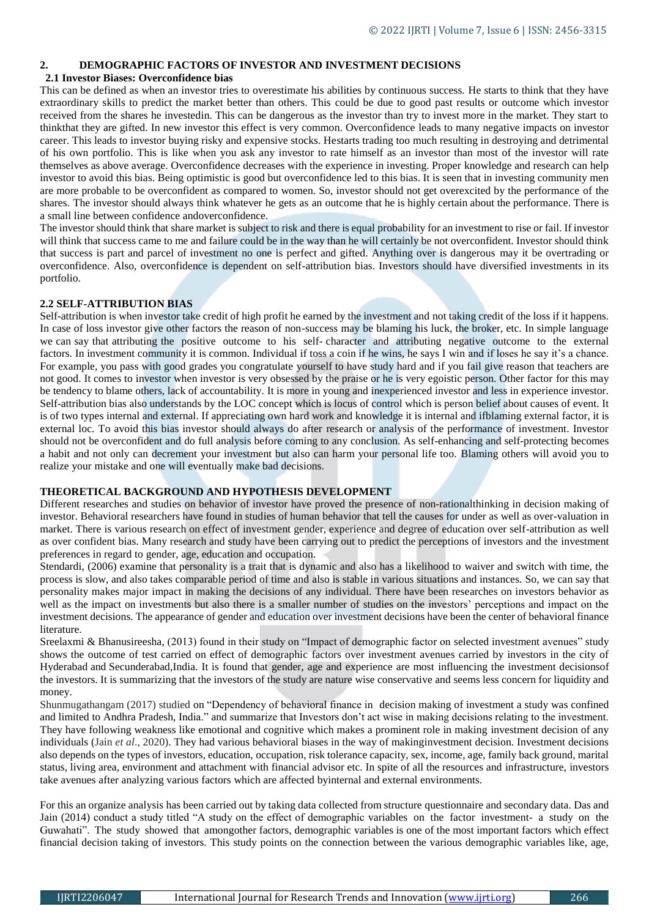# **2. DEMOGRAPHIC FACTORS OF INVESTOR AND INVESTMENT DECISIONS**

## **2.1 Investor Biases: Overconfidence bias**

This can be defined as when an investor tries to overestimate his abilities by continuous success. He starts to think that they have extraordinary skills to predict the market better than others. This could be due to good past results or outcome which investor received from the shares he investedin. This can be dangerous as the investor than try to invest more in the market. They start to thinkthat they are gifted. In new investor this effect is very common. Overconfidence leads to many negative impacts on investor career. This leads to investor buying risky and expensive stocks. Hestarts trading too much resulting in destroying and detrimental of his own portfolio. This is like when you ask any investor to rate himself as an investor than most of the investor will rate themselves as above average. Overconfidence decreases with the experience in investing. Proper knowledge and research can help investor to avoid this bias. Being optimistic is good but overconfidence led to this bias. It is seen that in investing community men are more probable to be overconfident as compared to women. So, investor should not get overexcited by the performance of the shares. The investor should always think whatever he gets as an outcome that he is highly certain about the performance. There is a small line between confidence andoverconfidence.

The investor should think that share market is subject to risk and there is equal probability for an investment to rise or fail. If investor will think that success came to me and failure could be in the way than he will certainly be not overconfident. Investor should think that success is part and parcel of investment no one is perfect and gifted. Anything over is dangerous may it be overtrading or overconfidence. Also, overconfidence is dependent on self-attribution bias. Investors should have diversified investments in its portfolio.

## **2.2 SELF-ATTRIBUTION BIAS**

Self-attribution is when investor take credit of high profit he earned by the investment and not taking credit of the loss if it happens. In case of loss investor give other factors the reason of non-success may be blaming his luck, the broker, etc. In simple language we can say that attributing the positive outcome to his self- character and attributing negative outcome to the external factors. In investment community it is common. Individual if toss a coin if he wins, he says I win and if loses he say it's a chance. For example, you pass with good grades you congratulate yourself to have study hard and if you fail give reason that teachers are not good. It comes to investor when investor is very obsessed by the praise or he is very egoistic person. Other factor for this may be tendency to blame others, lack of accountability. It is more in young and inexperienced investor and less in experience investor. Self-attribution bias also understands by the LOC concept which is locus of control which is person belief about causes of event. It is of two types internal and external. If appreciating own hard work and knowledge it is internal and ifblaming external factor, it is external loc. To avoid this bias investor should always do after research or analysis of the performance of investment. Investor should not be overconfident and do full analysis before coming to any conclusion. As self-enhancing and self-protecting becomes a habit and not only can decrement your investment but also can harm your personal life too. Blaming others will avoid you to realize your mistake and one will eventually make bad decisions.

## **THEORETICAL BACKGROUND AND HYPOTHESIS DEVELOPMENT**

Different researches and studies on behavior of investor have proved the presence of non-rationalthinking in decision making of investor. Behavioral researchers have found in studies of human behavior that tell the causes for under as well as over-valuation in market. There is various research on effect of investment gender, experience and degree of education over self-attribution as well as over confident bias. Many research and study have been carrying out to predict the perceptions of investors and the investment preferences in regard to gender, age, education and occupation.

Stendardi, (2006) examine that personality is a trait that is dynamic and also has a likelihood to waiver and switch with time, the process is slow, and also takes comparable period of time and also is stable in various situations and instances. So, we can say that personality makes major impact in making the decisions of any individual. There have been researches on investors behavior as well as the impact on investments but also there is a smaller number of studies on the investors' perceptions and impact on the investment decisions. The appearance of gender and education over investment decisions have been the center of behavioral finance literature.

Sreelaxmi & Bhanusireesha, (2013) found in their study on "Impact of demographic factor on selected investment avenues" study shows the outcome of test carried on effect of demographic factors over investment avenues carried by investors in the city of Hyderabad and Secunderabad,India. It is found that gender, age and experience are most influencing the investment decisionsof the investors. It is summarizing that the investors of the study are nature wise conservative and seems less concern for liquidity and money.

Shunmugathangam (2017) studied on "Dependency of behavioral finance in decision making of investment a study was confined and limited to Andhra Pradesh, India." and summarize that Investors don't act wise in making decisions relating to the investment. They have following weakness like emotional and cognitive which makes a prominent role in making investment decision of any individuals (Jain *et al*., 2020). They had various behavioral biases in the way of makinginvestment decision. Investment decisions also depends on the types of investors, education, occupation, risk tolerance capacity, sex, income, age, family back ground, marital status, living area, environment and attachment with financial advisor etc. In spite of all the resources and infrastructure, investors take avenues after analyzing various factors which are affected byinternal and external environments.

For this an organize analysis has been carried out by taking data collected from structure questionnaire and secondary data. Das and Jain (2014) conduct a study titled "A study on the effect of demographic variables on the factor investment- a study on the Guwahati". The study showed that amongother factors, demographic variables is one of the most important factors which effect financial decision taking of investors. This study points on the connection between the various demographic variables like, age,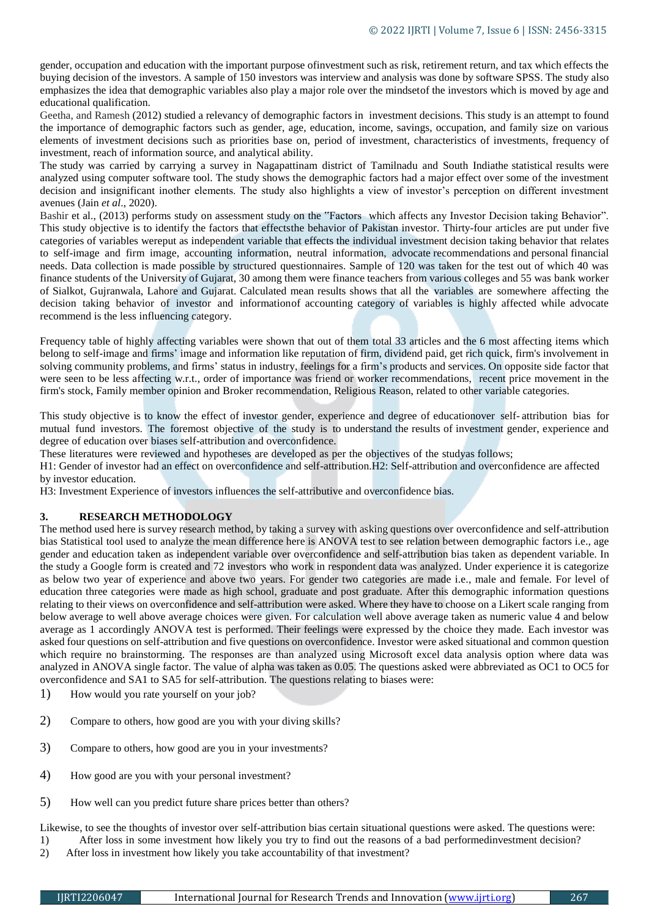gender, occupation and education with the important purpose ofinvestment such as risk, retirement return, and tax which effects the buying decision of the investors. A sample of 150 investors was interview and analysis was done by software SPSS. The study also emphasizes the idea that demographic variables also play a major role over the mindsetof the investors which is moved by age and educational qualification.

Geetha, and Ramesh (2012) studied a relevancy of demographic factors in investment decisions. This study is an attempt to found the importance of demographic factors such as gender, age, education, income, savings, occupation, and family size on various elements of investment decisions such as priorities base on, period of investment, characteristics of investments, frequency of investment, reach of information source, and analytical ability.

The study was carried by carrying a survey in Nagapattinam district of Tamilnadu and South Indiathe statistical results were analyzed using computer software tool. The study shows the demographic factors had a major effect over some of the investment decision and insignificant inother elements. The study also highlights a view of investor's perception on different investment avenues (Jain *et al*., 2020).

Bashir et al., (2013) performs study on assessment study on the "Factors which affects any Investor Decision taking Behavior". This study objective is to identify the factors that effectsthe behavior of Pakistan investor. Thirty-four articles are put under five categories of variables wereput as independent variable that effects the individual investment decision taking behavior that relates to self-image and firm image, accounting information, neutral information, advocate recommendations and personal financial needs. Data collection is made possible by structured questionnaires. Sample of 120 was taken for the test out of which 40 was finance students of the University of Gujarat, 30 among them were finance teachers from various colleges and 55 was bank worker of Sialkot, Gujranwala, Lahore and Gujarat. Calculated mean results shows that all the variables are somewhere affecting the decision taking behavior of investor and informationof accounting category of variables is highly affected while advocate recommend is the less influencing category.

Frequency table of highly affecting variables were shown that out of them total 33 articles and the 6 most affecting items which belong to self-image and firms' image and information like reputation of firm, dividend paid, get rich quick, firm's involvement in solving community problems, and firms' status in industry, feelings for a firm's products and services. On opposite side factor that were seen to be less affecting w.r.t., order of importance was friend or worker recommendations, recent price movement in the firm's stock, Family member opinion and Broker recommendation, Religious Reason, related to other variable categories.

This study objective is to know the effect of investor gender, experience and degree of educationover self- attribution bias for mutual fund investors. The foremost objective of the study is to understand the results of investment gender, experience and degree of education over biases self-attribution and overconfidence.

These literatures were reviewed and hypotheses are developed as per the objectives of the studyas follows;

H1: Gender of investor had an effect on overconfidence and self-attribution.H2: Self-attribution and overconfidence are affected by investor education.

H3: Investment Experience of investors influences the self-attributive and overconfidence bias.

# **3. RESEARCH METHODOLOGY**

The method used here is survey research method, by taking a survey with asking questions over overconfidence and self-attribution bias Statistical tool used to analyze the mean difference here is ANOVA test to see relation between demographic factors i.e., age gender and education taken as independent variable over overconfidence and self-attribution bias taken as dependent variable. In the study a Google form is created and 72 investors who work in respondent data was analyzed. Under experience it is categorize as below two year of experience and above two years. For gender two categories are made i.e., male and female. For level of education three categories were made as high school, graduate and post graduate. After this demographic information questions relating to their views on overconfidence and self-attribution were asked. Where they have to choose on a Likert scale ranging from below average to well above average choices were given. For calculation well above average taken as numeric value 4 and below average as 1 accordingly ANOVA test is performed. Their feelings were expressed by the choice they made. Each investor was asked four questions on self-attribution and five questions on overconfidence. Investor were asked situational and common question which require no brainstorming. The responses are than analyzed using Microsoft excel data analysis option where data was analyzed in ANOVA single factor. The value of alpha was taken as 0.05. The questions asked were abbreviated as OC1 to OC5 for overconfidence and SA1 to SA5 for self-attribution. The questions relating to biases were:

- 1) How would you rate yourself on your job?
- 2) Compare to others, how good are you with your diving skills?
- 3) Compare to others, how good are you in your investments?
- 4) How good are you with your personal investment?
- 5) How well can you predict future share prices better than others?

Likewise, to see the thoughts of investor over self-attribution bias certain situational questions were asked. The questions were: 1) After loss in some investment how likely you try to find out the reasons of a bad performedinvestment decision?

2) After loss in investment how likely you take accountability of that investment?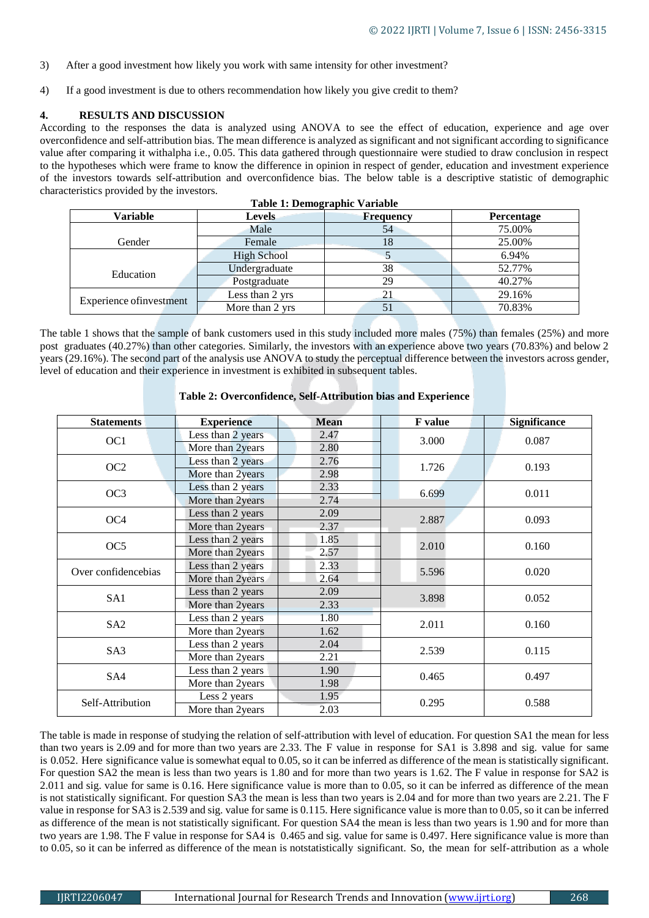- 3) After a good investment how likely you work with same intensity for other investment?
- 4) If a good investment is due to others recommendation how likely you give credit to them?

## **4. RESULTS AND DISCUSSION**

According to the responses the data is analyzed using ANOVA to see the effect of education, experience and age over overconfidence and self-attribution bias. The mean difference is analyzed as significant and not significant according to significance value after comparing it withalpha i.e., 0.05. This data gathered through questionnaire were studied to draw conclusion in respect to the hypotheses which were frame to know the difference in opinion in respect of gender, education and investment experience of the investors towards self-attribution and overconfidence bias. The below table is a descriptive statistic of demographic characteristics provided by the investors.

| <b>Table 1: Demographic Variable</b> |                                   |    |            |  |
|--------------------------------------|-----------------------------------|----|------------|--|
| <b>Variable</b>                      | <b>Levels</b><br><b>Frequency</b> |    | Percentage |  |
|                                      | Male                              | 54 | 75.00%     |  |
| Gender                               | Female                            | 18 | 25.00%     |  |
|                                      | <b>High School</b>                |    | 6.94%      |  |
| Education                            | Undergraduate                     | 38 | 52.77%     |  |
|                                      | Postgraduate                      | 29 | 40.27%     |  |
| Experience of investment             | Less than 2 yrs                   | 21 | 29.16%     |  |
|                                      | More than 2 yrs                   |    | 70.83%     |  |

The table 1 shows that the sample of bank customers used in this study included more males (75%) than females (25%) and more post graduates (40.27%) than other categories. Similarly, the investors with an experience above two years (70.83%) and below 2 years (29.16%). The second part of the analysis use ANOVA to study the perceptual difference between the investors across gender, level of education and their experience in investment is exhibited in subsequent tables.

| <b>Statements</b>   | <b>Experience</b> | <b>Mean</b> | F value | <b>Significance</b> |
|---------------------|-------------------|-------------|---------|---------------------|
| OC1                 | Less than 2 years | 2.47        | 3.000   | 0.087               |
|                     | More than 2years  | 2.80        |         |                     |
| OC <sub>2</sub>     | Less than 2 years | 2.76        | 1.726   | 0.193               |
|                     | More than 2years  | 2.98        |         |                     |
| OC <sub>3</sub>     | Less than 2 years | 2.33        | 6.699   | 0.011               |
|                     | More than 2years  | 2.74        |         |                     |
| OC <sub>4</sub>     | Less than 2 years | 2.09        | 2.887   | 0.093               |
|                     | More than 2years  | 2.37        |         |                     |
| OC <sub>5</sub>     | Less than 2 years | 1.85        | 2.010   | 0.160               |
|                     | More than 2years  | 2.57        |         |                     |
| Over confidencebias | Less than 2 years | 2.33        | 5.596   | 0.020               |
|                     | More than 2years  | 2.64        |         |                     |
| SA1                 | Less than 2 years | 2.09        | 3.898   | 0.052               |
|                     | More than 2years  | 2.33        |         |                     |
| SA <sub>2</sub>     | Less than 2 years | 1.80        | 2.011   | 0.160               |
|                     | More than 2years  | 1.62        |         |                     |
| SA <sub>3</sub>     | Less than 2 years | 2.04        | 2.539   | 0.115               |
|                     | More than 2years  | 2.21        |         |                     |
| SA4                 | Less than 2 years | 1.90        | 0.465   | 0.497               |
|                     | More than 2years  | 1.98        |         |                     |
| Self-Attribution    | Less 2 years      | 1.95        | 0.295   | 0.588               |
|                     | More than 2years  | 2.03        |         |                     |

## **Table 2: Overconfidence, Self-Attribution bias and Experience**

The table is made in response of studying the relation of self-attribution with level of education. For question SA1 the mean for less than two years is 2.09 and for more than two years are 2.33. The F value in response for SA1 is 3.898 and sig. value for same is 0.052. Here significance value is somewhat equal to 0.05, so it can be inferred as difference of the mean is statistically significant. For question SA2 the mean is less than two years is 1.80 and for more than two years is 1.62. The F value in response for SA2 is 2.011 and sig. value for same is 0.16. Here significance value is more than to 0.05, so it can be inferred as difference of the mean is not statistically significant. For question SA3 the mean is less than two years is 2.04 and for more than two years are 2.21. The F value in response for SA3 is 2.539 and sig. value for same is 0.115. Here significance value is more than to 0.05, so it can be inferred as difference of the mean is not statistically significant. For question SA4 the mean is less than two years is 1.90 and for more than two years are 1.98. The F value in response for SA4 is 0.465 and sig. value for same is 0.497. Here significance value is more than to 0.05, so it can be inferred as difference of the mean is notstatistically significant. So, the mean for self-attribution as a whole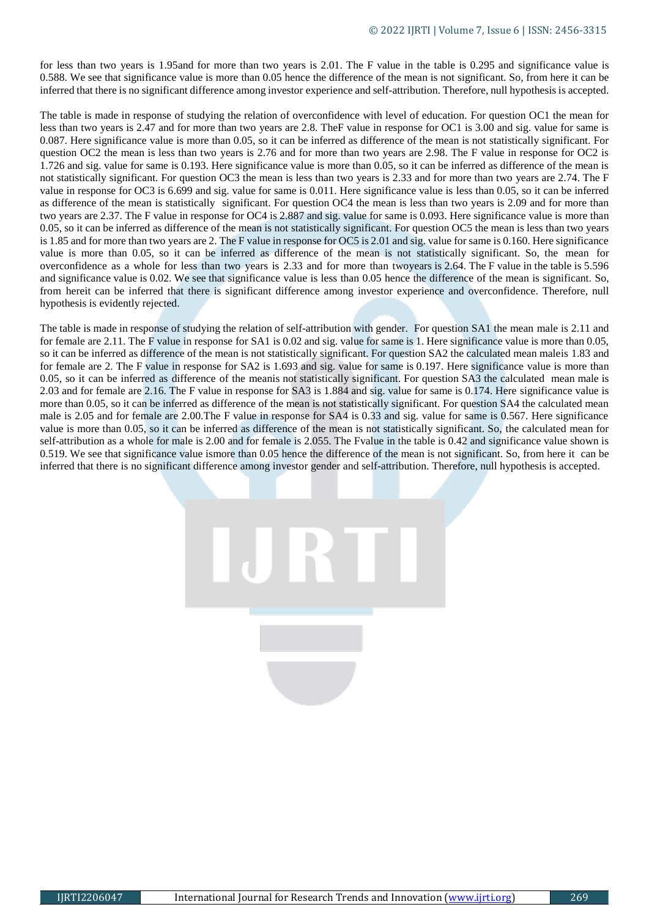for less than two years is 1.95and for more than two years is 2.01. The F value in the table is 0.295 and significance value is 0.588. We see that significance value is more than 0.05 hence the difference of the mean is not significant. So, from here it can be inferred that there is no significant difference among investor experience and self-attribution. Therefore, null hypothesis is accepted.

The table is made in response of studying the relation of overconfidence with level of education. For question OC1 the mean for less than two years is 2.47 and for more than two years are 2.8. TheF value in response for OC1 is 3.00 and sig. value for same is 0.087. Here significance value is more than 0.05, so it can be inferred as difference of the mean is not statistically significant. For question OC2 the mean is less than two years is 2.76 and for more than two years are 2.98. The F value in response for OC2 is 1.726 and sig. value for same is 0.193. Here significance value is more than 0.05, so it can be inferred as difference of the mean is not statistically significant. For question OC3 the mean is less than two years is 2.33 and for more than two years are 2.74. The F value in response for OC3 is 6.699 and sig. value for same is 0.011. Here significance value is less than 0.05, so it can be inferred as difference of the mean is statistically significant. For question OC4 the mean is less than two years is 2.09 and for more than two years are 2.37. The F value in response for OC4 is 2.887 and sig. value for same is 0.093. Here significance value is more than 0.05, so it can be inferred as difference of the mean is not statistically significant. For question OC5 the mean is less than two years is 1.85 and for more than two years are 2. The F value in response for OC5 is 2.01 and sig. value for same is 0.160. Here significance value is more than 0.05, so it can be inferred as difference of the mean is not statistically significant. So, the mean for overconfidence as a whole for less than two years is 2.33 and for more than twoyears is 2.64. The F value in the table is 5.596 and significance value is 0.02. We see that significance value is less than 0.05 hence the difference of the mean is significant. So, from hereit can be inferred that there is significant difference among investor experience and overconfidence. Therefore, null hypothesis is evidently rejected.

The table is made in response of studying the relation of self-attribution with gender. For question SA1 the mean male is 2.11 and for female are 2.11. The F value in response for SA1 is 0.02 and sig. value for same is 1. Here significance value is more than 0.05, so it can be inferred as difference of the mean is not statistically significant. For question SA2 the calculated mean maleis 1.83 and for female are 2. The F value in response for SA2 is 1.693 and sig. value for same is 0.197. Here significance value is more than 0.05, so it can be inferred as difference of the meanis not statistically significant. For question SA3 the calculated mean male is 2.03 and for female are 2.16. The F value in response for SA3 is 1.884 and sig. value for same is 0.174. Here significance value is more than 0.05, so it can be inferred as difference of the mean is not statistically significant. For question SA4 the calculated mean male is 2.05 and for female are 2.00.The F value in response for SA4 is 0.33 and sig. value for same is 0.567. Here significance value is more than 0.05, so it can be inferred as difference of the mean is not statistically significant. So, the calculated mean for self-attribution as a whole for male is 2.00 and for female is 2.055. The Fvalue in the table is 0.42 and significance value shown is 0.519. We see that significance value ismore than 0.05 hence the difference of the mean is not significant. So, from here it can be inferred that there is no significant difference among investor gender and self-attribution. Therefore, null hypothesis is accepted.

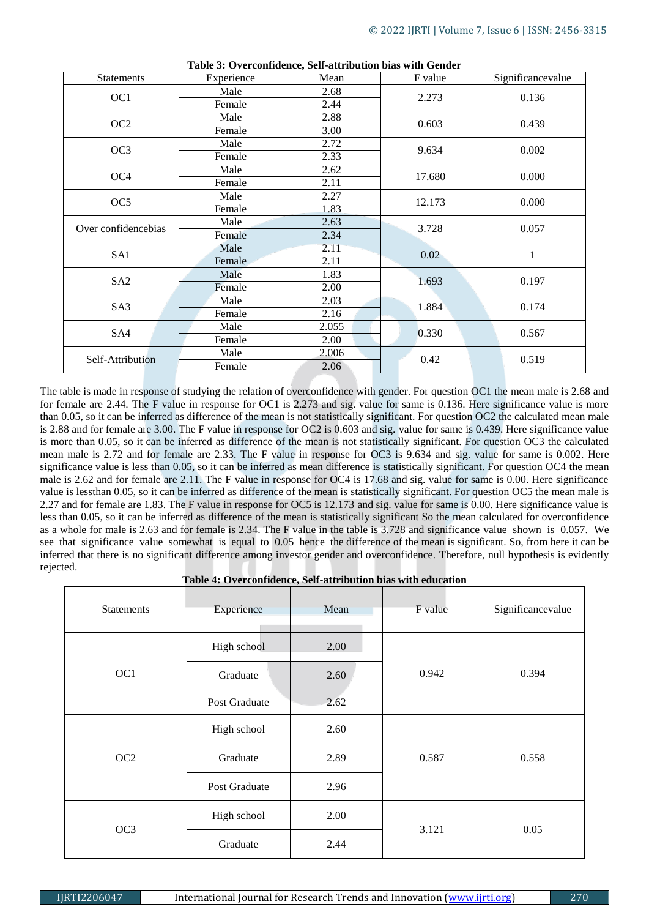| <b>Statements</b>   | Experience | Mean  | F value | Significancevalue |
|---------------------|------------|-------|---------|-------------------|
| OC1                 | Male       | 2.68  | 2.273   | 0.136             |
|                     | Female     | 2.44  |         |                   |
| OC <sub>2</sub>     | Male       | 2.88  | 0.603   | 0.439             |
|                     | Female     | 3.00  |         |                   |
|                     | Male       | 2.72  |         | 0.002             |
| OC <sub>3</sub>     | Female     | 2.33  | 9.634   |                   |
|                     | Male       | 2.62  |         | 0.000             |
| OC <sub>4</sub>     | Female     | 2.11  | 17.680  |                   |
| OC <sub>5</sub>     | Male       | 2.27  | 12.173  | 0.000             |
|                     | Female     | 1.83  |         |                   |
| Over confidencebias | Male       | 2.63  | 3.728   | 0.057             |
|                     | Female     | 2.34  |         |                   |
| SA1                 | Male       | 2.11  | 0.02    | $\mathbf{1}$      |
|                     | Female     | 2.11  |         |                   |
| SA <sub>2</sub>     | Male       | 1.83  | 1.693   | 0.197             |
|                     | Female     | 2.00  |         |                   |
| SA <sub>3</sub>     | Male       | 2.03  | 1.884   | 0.174             |
|                     | Female     | 2.16  |         |                   |
| SA4                 | Male       | 2.055 | 0.330   | 0.567             |
|                     | Female     | 2.00  |         |                   |
| Self-Attribution    | Male       | 2.006 | 0.42    | 0.519             |
|                     | Female     | 2.06  |         |                   |

**Table 3: Overconfidence, Self-attribution bias with Gender**

The table is made in response of studying the relation of overconfidence with gender. For question OC1 the mean male is 2.68 and for female are 2.44. The F value in response for OC1 is 2.273 and sig. value for same is 0.136. Here significance value is more than 0.05, so it can be inferred as difference of the mean is not statistically significant. For question OC2 the calculated mean male is 2.88 and for female are 3.00. The F value in response for OC2 is 0.603 and sig. value for same is 0.439. Here significance value is more than 0.05, so it can be inferred as difference of the mean is not statistically significant. For question OC3 the calculated mean male is 2.72 and for female are 2.33. The F value in response for OC3 is 9.634 and sig. value for same is 0.002. Here significance value is less than 0.05, so it can be inferred as mean difference is statistically significant. For question OC4 the mean male is 2.62 and for female are 2.11. The F value in response for OC4 is 17.68 and sig. value for same is 0.00. Here significance value is lessthan 0.05, so it can be inferred as difference of the mean is statistically significant. For question OC5 the mean male is 2.27 and for female are 1.83. The F value in response for OC5 is 12.173 and sig. value for same is 0.00. Here significance value is less than 0.05, so it can be inferred as difference of the mean is statistically significant So the mean calculated for overconfidence as a whole for male is 2.63 and for female is 2.34. The F value in the table is 3.728 and significance value shown is 0.057. We see that significance value somewhat is equal to 0.05 hence the difference of the mean is significant. So, from here it can be inferred that there is no significant difference among investor gender and overconfidence. Therefore, null hypothesis is evidently rejected.

**Table 4: Overconfidence, Self-attribution bias with education**

| <b>Statements</b> | Experience    | Mean | F value | Significancevalue |
|-------------------|---------------|------|---------|-------------------|
| OC <sub>1</sub>   | High school   | 2.00 |         |                   |
|                   | Graduate      | 2.60 | 0.942   | 0.394             |
|                   | Post Graduate | 2.62 |         |                   |
| OC2               | High school   | 2.60 |         |                   |
|                   | Graduate      | 2.89 | 0.587   | 0.558             |
|                   | Post Graduate | 2.96 |         |                   |
| OC <sub>3</sub>   | High school   | 2.00 | 3.121   | 0.05              |
|                   | Graduate      | 2.44 |         |                   |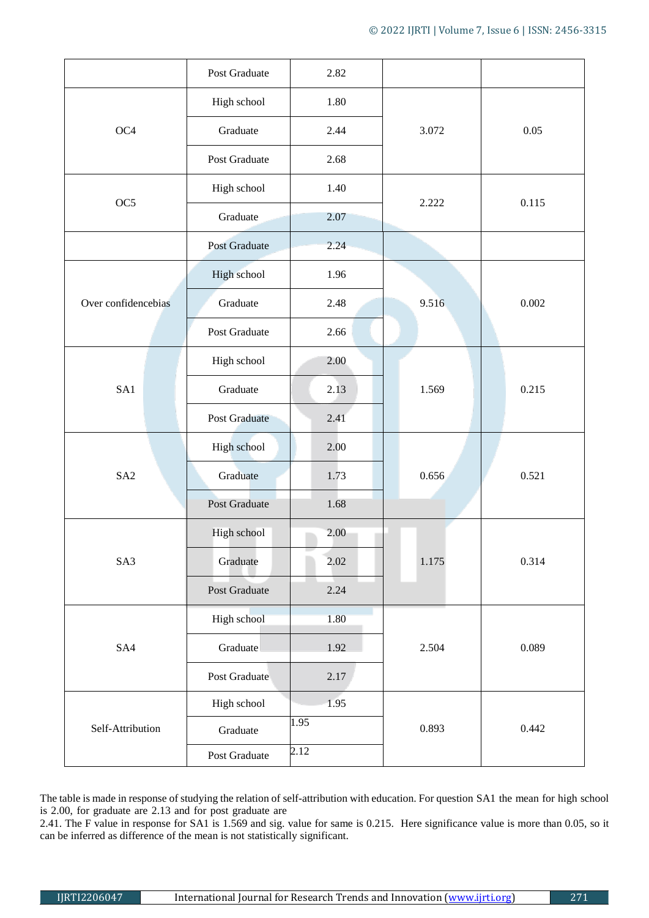|                     | Post Graduate | 2.82 |       |       |
|---------------------|---------------|------|-------|-------|
|                     | High school   | 1.80 |       |       |
| OC <sub>4</sub>     | Graduate      | 2.44 | 3.072 | 0.05  |
|                     | Post Graduate | 2.68 |       |       |
| OC <sub>5</sub>     | High school   | 1.40 | 2.222 | 0.115 |
|                     | Graduate      | 2.07 |       |       |
|                     | Post Graduate | 2.24 |       |       |
|                     | High school   | 1.96 |       |       |
| Over confidencebias | Graduate      | 2.48 | 9.516 | 0.002 |
|                     | Post Graduate | 2.66 |       |       |
|                     | High school   | 2.00 |       |       |
| SA1                 | Graduate      | 2.13 | 1.569 | 0.215 |
|                     | Post Graduate | 2.41 |       |       |
|                     | High school   | 2.00 |       |       |
| SA <sub>2</sub>     | Graduate      | 1.73 | 0.656 | 0.521 |
|                     | Post Graduate | 1.68 |       |       |
|                     | High school   | 2.00 |       |       |
| SA3                 | Graduate      | 2.02 | 1.175 | 0.314 |
|                     | Post Graduate | 2.24 |       |       |
| SA4                 | High school   | 1.80 |       |       |
|                     | Graduate      | 1.92 | 2.504 | 0.089 |
|                     | Post Graduate | 2.17 |       |       |
|                     | High school   | 1.95 |       |       |
| Self-Attribution    | Graduate      | 1.95 | 0.893 | 0.442 |
|                     | Post Graduate | 2.12 |       |       |

The table is made in response of studying the relation of self-attribution with education. For question SA1 the mean for high school is 2.00, for graduate are 2.13 and for post graduate are

2.41. The F value in response for SA1 is 1.569 and sig. value for same is 0.215. Here significance value is more than 0.05, so it can be inferred as difference of the mean is not statistically significant.